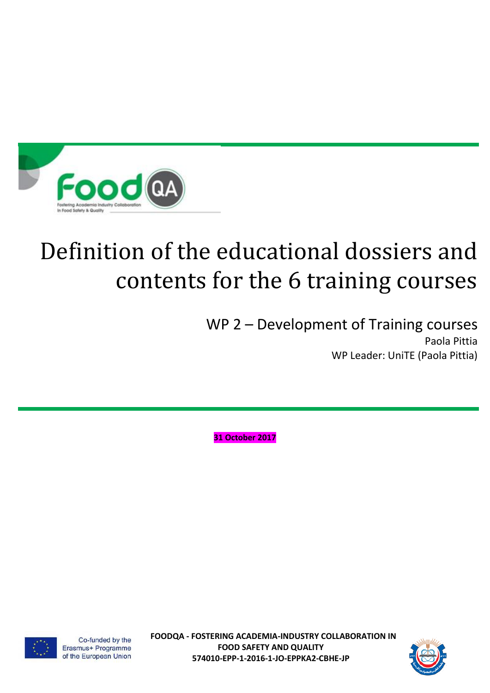

WP 2 – Development of Training courses Paola Pittia WP Leader: UniTE (Paola Pittia)

**31 October 2017**





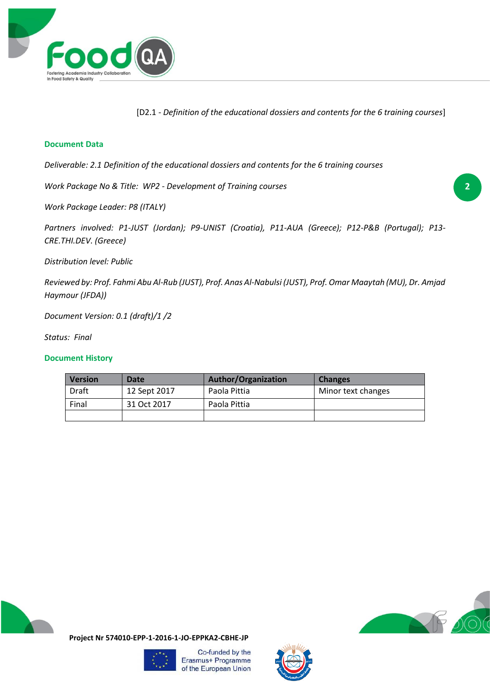

#### **Document Data**

*Deliverable: 2.1 Definition of the educational dossiers and contents for the 6 training courses*

*Work Package No & Title: WP2 - Development of Training courses*

*Work Package Leader: P8 (ITALY)*

*Partners involved: P1-JUST (Jordan); P9-UNIST (Croatia), P11-AUA (Greece); P12-P&B (Portugal); P13- CRE.THI.DEV. (Greece)* 

*Distribution level: Public*

*Reviewed by: Prof. Fahmi Abu Al-Rub (JUST), Prof. Anas Al-Nabulsi (JUST), Prof. Omar Maaytah (MU), Dr. Amjad Haymour (JFDA))*

*Document Version: 0.1 (draft)/1 /2*

*Status: Final*

#### **Document History**

| <b>Version</b> | Date         | <b>Author/Organization</b> | <b>Changes</b>     |
|----------------|--------------|----------------------------|--------------------|
| Draft          | 12 Sept 2017 | Paola Pittia               | Minor text changes |
| Final          | 31 Oct 2017  | Paola Pittia               |                    |
|                |              |                            |                    |





**Project Nr 574010-EPP-1-2016-1-JO-EPPKA2-CBHE-JP**



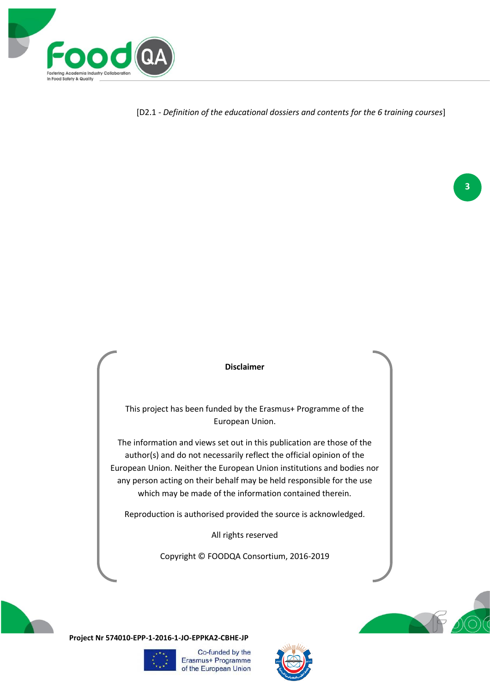

#### **Disclaimer**

This project has been funded by the Erasmus+ Programme of the European Union.

The information and views set out in this publication are those of the author(s) and do not necessarily reflect the official opinion of the European Union. Neither the European Union institutions and bodies nor any person acting on their behalf may be held responsible for the use which may be made of the information contained therein.

Reproduction is authorised provided the source is acknowledged.

All rights reserved

Copyright © FOODQA Consortium, 2016-2019







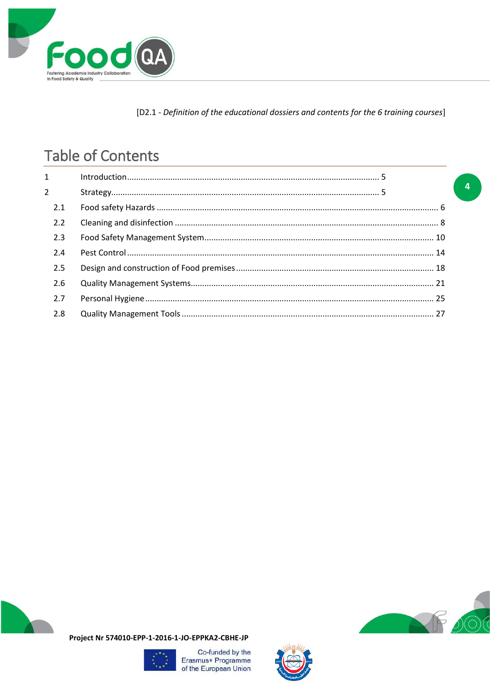

# **Table of Contents**

| $\mathbf{1}$   |  |
|----------------|--|
| $\overline{2}$ |  |
| 2.1            |  |
| 2.2            |  |
| 2.3            |  |
| 2.4            |  |
| 2.5            |  |
| 2.6            |  |
| 2.7            |  |
| 2.8            |  |





 $\overline{a}$ 

Project Nr 574010-EPP-1-2016-1-JO-EPPKA2-CBHE-JP



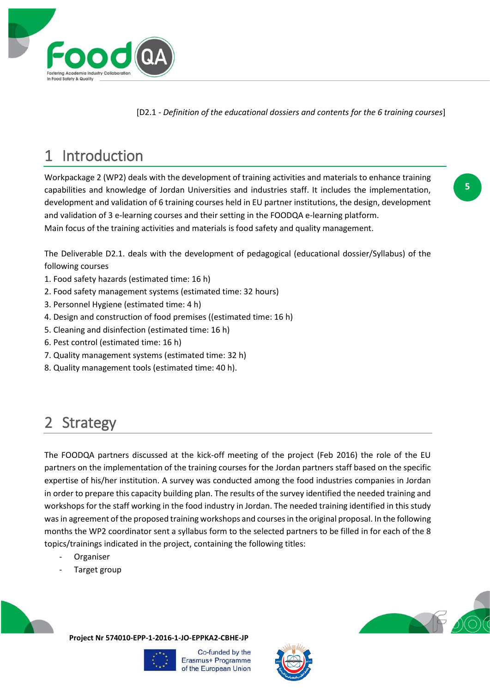

# <span id="page-4-0"></span>1 Introduction

Workpackage 2 (WP2) deals with the development of training activities and materials to enhance training capabilities and knowledge of Jordan Universities and industries staff. It includes the implementation, development and validation of 6 training courses held in EU partner institutions, the design, development and validation of 3 e-learning courses and their setting in the FOODQA e-learning platform. Main focus of the training activities and materials is food safety and quality management.

The Deliverable D2.1. deals with the development of pedagogical (educational dossier/Syllabus) of the following courses

- 1. Food safety hazards (estimated time: 16 h)
- 2. Food safety management systems (estimated time: 32 hours)
- 3. Personnel Hygiene (estimated time: 4 h)
- 4. Design and construction of food premises ((estimated time: 16 h)
- 5. Cleaning and disinfection (estimated time: 16 h)
- 6. Pest control (estimated time: 16 h)
- 7. Quality management systems (estimated time: 32 h)
- 8. Quality management tools (estimated time: 40 h).

# <span id="page-4-1"></span>**Strategy**

The FOODQA partners discussed at the kick-off meeting of the project (Feb 2016) the role of the EU partners on the implementation of the training courses for the Jordan partners staff based on the specific expertise of his/her institution. A survey was conducted among the food industries companies in Jordan in order to prepare this capacity building plan. The results of the survey identified the needed training and workshops for the staff working in the food industry in Jordan. The needed training identified in this study was in agreement of the proposed training workshops and courses in the original proposal. In the following months the WP2 coordinator sent a syllabus form to the selected partners to be filled in for each of the 8 topics/trainings indicated in the project, containing the following titles:

- **Organiser**
- Target group



**Project Nr 574010-EPP-1-2016-1-JO-EPPKA2-CBHE-JP**





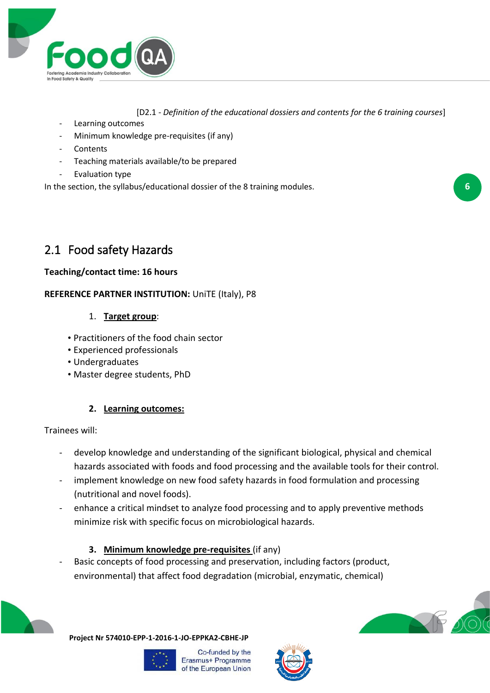

- Learning outcomes
- Minimum knowledge pre-requisites (if any)
- **Contents**
- Teaching materials available/to be prepared
- Evaluation type

In the section, the syllabus/educational dossier of the 8 training modules.

# <span id="page-5-0"></span>2.1 Food safety Hazards

#### **Teaching/contact time: 16 hours**

#### **REFERENCE PARTNER INSTITUTION:** UniTE (Italy), P8

- 1. **Target group**:
- Practitioners of the food chain sector
- Experienced professionals
- Undergraduates
- Master degree students, PhD

#### **2. Learning outcomes:**

#### Trainees will:

- develop knowledge and understanding of the significant biological, physical and chemical hazards associated with foods and food processing and the available tools for their control.
- implement knowledge on new food safety hazards in food formulation and processing (nutritional and novel foods).
- enhance a critical mindset to analyze food processing and to apply preventive methods minimize risk with specific focus on microbiological hazards.

#### **3. Minimum knowledge pre-requisites** (if any)

Basic concepts of food processing and preservation, including factors (product, environmental) that affect food degradation (microbial, enzymatic, chemical)





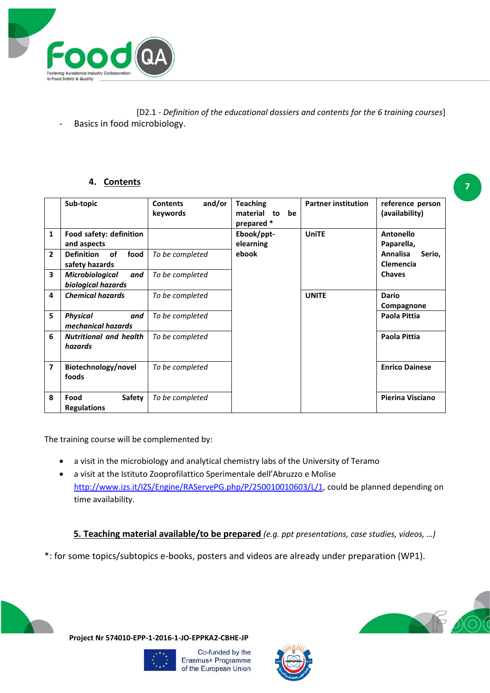

[D2.1 - *Definition of the educational dossiers and contents for the 6 training courses*] Basics in food microbiology.

#### **4. Contents**

|                | Sub-topic                                           | and/or<br><b>Contents</b><br>keywords | <b>Teaching</b><br>material<br>to<br>be<br>prepared * | <b>Partner institution</b> | reference person<br>(availability)     |
|----------------|-----------------------------------------------------|---------------------------------------|-------------------------------------------------------|----------------------------|----------------------------------------|
| $\mathbf{1}$   | Food safety: definition<br>and aspects              |                                       | Ebook/ppt-<br>elearning                               | <b>UniTE</b>               | Antonello<br>Paparella,                |
| $\overline{2}$ | <b>Definition</b><br>food<br>of<br>safety hazards   | To be completed                       | ebook                                                 |                            | <b>Annalisa</b><br>Serio,<br>Clemencia |
| 3              | <b>Microbiological</b><br>and<br>biological hazards | To be completed                       |                                                       |                            | <b>Chaves</b>                          |
| 4              | <b>Chemical hazards</b>                             | To be completed                       |                                                       | <b>UNITE</b>               | <b>Dario</b><br>Compagnone             |
| 5              | <b>Physical</b><br>and<br>mechanical hazards        | To be completed                       |                                                       |                            | Paola Pittia                           |
| 6              | <b>Nutritional and health</b><br>hazards            | To be completed                       |                                                       |                            | Paola Pittia                           |
| 7              | Biotechnology/novel<br>foods                        | To be completed                       |                                                       |                            | <b>Enrico Dainese</b>                  |
| 8              | Safety<br>Food<br><b>Regulations</b>                | To be completed                       |                                                       |                            | Pierina Visciano                       |

The training course will be complemented by:

- a visit in the microbiology and analytical chemistry labs of the University of Teramo
- a visit at the Istituto Zooprofilattico Sperimentale dell'Abruzzo e Molise [http://www.izs.it/IZS/Engine/RAServePG.php/P/250010010603/L/1,](http://www.izs.it/IZS/Engine/RAServePG.php/P/250010010603/L/1) could be planned depending on time availability.

**5. Teaching material available/to be prepared** *(e.g. ppt presentations, case studies, videos, …)*

\*: for some topics/subtopics e-books, posters and videos are already under preparation (WP1).







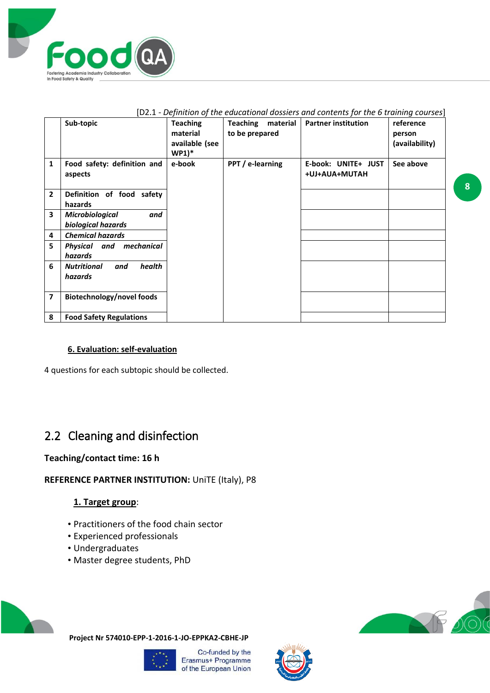

|                | Sub-topic                                           | <b>Teaching</b><br>material<br>available (see<br>WP1)* | <b>Teaching</b><br>material<br>to be prepared | <b>Partner institution</b>           | reference<br>person<br>(availability) |
|----------------|-----------------------------------------------------|--------------------------------------------------------|-----------------------------------------------|--------------------------------------|---------------------------------------|
| 1              | Food safety: definition and<br>aspects              | e-book                                                 | PPT / e-learning                              | E-book: UNITE+ JUST<br>+UJ+AUA+MUTAH | See above                             |
| $\overline{2}$ | Definition of food safety<br>hazards                |                                                        |                                               |                                      |                                       |
| 3              | <b>Microbiological</b><br>and<br>biological hazards |                                                        |                                               |                                      |                                       |
| 4              | <b>Chemical hazards</b>                             |                                                        |                                               |                                      |                                       |
| 5              | Physical and<br>mechanical<br>hazards               |                                                        |                                               |                                      |                                       |
| 6              | health<br><b>Nutritional</b><br>and<br>hazards      |                                                        |                                               |                                      |                                       |
| 7              | Biotechnology/novel foods                           |                                                        |                                               |                                      |                                       |
| 8              | <b>Food Safety Regulations</b>                      |                                                        |                                               |                                      |                                       |

#### **6. Evaluation: self-evaluation**

4 questions for each subtopic should be collected.

### <span id="page-7-0"></span>2.2 Cleaning and disinfection

#### **Teaching/contact time: 16 h**

#### **REFERENCE PARTNER INSTITUTION:** UniTE (Italy), P8

#### **1. Target group**:

- Practitioners of the food chain sector
- Experienced professionals
- Undergraduates
- Master degree students, PhD







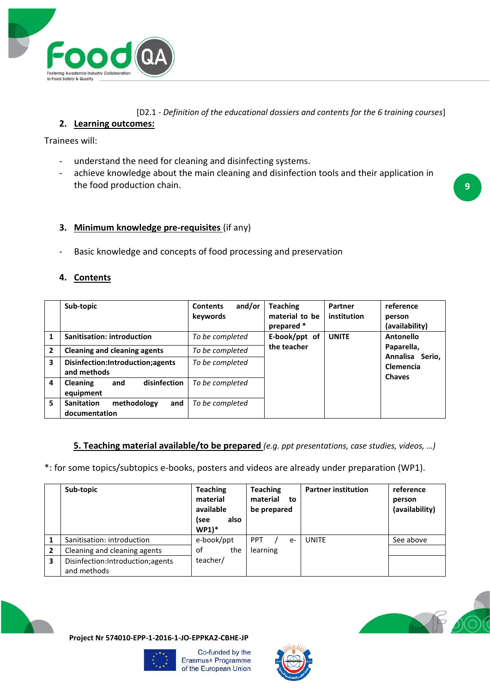

#### **2. Learning outcomes:**

Trainees will:

- understand the need for cleaning and disinfecting systems.
- achieve knowledge about the main cleaning and disinfection tools and their application in the food production chain.

#### **3. Minimum knowledge pre-requisites** (if any)

Basic knowledge and concepts of food processing and preservation

#### **4. Contents**

|              | Sub-topic                                                | and/or<br><b>Contents</b><br>keywords | <b>Teaching</b><br>material to be<br>prepared * | Partner<br>institution | reference<br>person<br>(availability)                       |  |
|--------------|----------------------------------------------------------|---------------------------------------|-------------------------------------------------|------------------------|-------------------------------------------------------------|--|
| $\mathbf{1}$ | <b>Sanitisation: introduction</b>                        | To be completed                       | E-book/ppt of                                   | <b>UNITE</b>           | Antonello                                                   |  |
| 2            | <b>Cleaning and cleaning agents</b>                      | To be completed                       | the teacher                                     |                        | Paparella,<br>Annalisa Serio,<br>Clemencia<br><b>Chaves</b> |  |
| 3            | Disinfection:Introduction;agents<br>and methods          | To be completed                       |                                                 |                        |                                                             |  |
| 4            | disinfection<br><b>Cleaning</b><br>and<br>equipment      | To be completed                       |                                                 |                        |                                                             |  |
| 5            | <b>Sanitation</b><br>methodology<br>and<br>documentation | To be completed                       |                                                 |                        |                                                             |  |

#### **5. Teaching material available/to be prepared** *(e.g. ppt presentations, case studies, videos, …)*

\*: for some topics/subtopics e-books, posters and videos are already under preparation (WP1).

|                | Sub-topic                        | <b>Teaching</b><br>material<br>available<br>also<br>(see<br>WP1)* | <b>Teaching</b><br>material<br>to<br>be prepared | <b>Partner institution</b> | reference<br>person<br>(availability) |
|----------------|----------------------------------|-------------------------------------------------------------------|--------------------------------------------------|----------------------------|---------------------------------------|
|                | Sanitisation: introduction       | e-book/ppt                                                        | <b>PPT</b><br>$e-$                               | <b>UNITE</b>               | See above                             |
| $\overline{2}$ | Cleaning and cleaning agents     | the<br>οf                                                         | learning                                         |                            |                                       |
| 3              | Disinfection:Introduction;agents | teacher/                                                          |                                                  |                            |                                       |
|                | and methods                      |                                                                   |                                                  |                            |                                       |







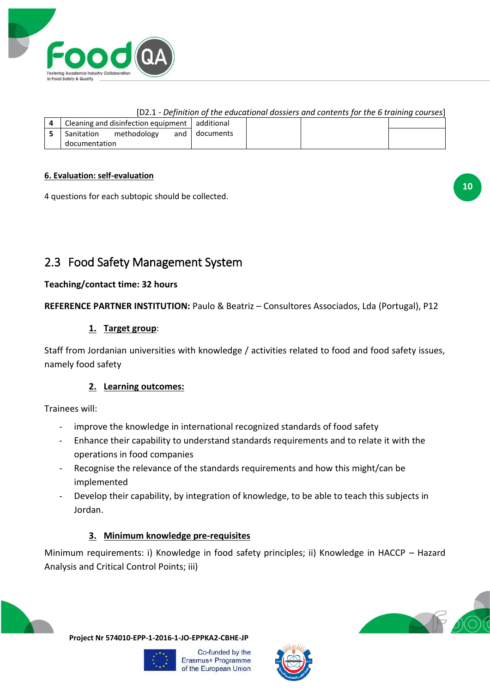

|  | Cleaning and disinfection equipment   additional |             |     |           |  |  |
|--|--------------------------------------------------|-------------|-----|-----------|--|--|
|  | Sanitation                                       | methodology | and | documents |  |  |
|  | documentation                                    |             |     |           |  |  |

#### **6. Evaluation: self-evaluation**

4 questions for each subtopic should be collected.

# <span id="page-9-0"></span>2.3 Food Safety Management System

#### **Teaching/contact time: 32 hours**

**REFERENCE PARTNER INSTITUTION:** Paulo & Beatriz – Consultores Associados, Lda (Portugal), P12

#### **1. Target group**:

Staff from Jordanian universities with knowledge / activities related to food and food safety issues, namely food safety

#### **2. Learning outcomes:**

Trainees will:

- improve the knowledge in international recognized standards of food safety
- Enhance their capability to understand standards requirements and to relate it with the operations in food companies
- Recognise the relevance of the standards requirements and how this might/can be implemented
- Develop their capability, by integration of knowledge, to be able to teach this subjects in Jordan.

#### **3. Minimum knowledge pre-requisites**

Minimum requirements: i) Knowledge in food safety principles; ii) Knowledge in HACCP – Hazard Analysis and Critical Control Points; iii)







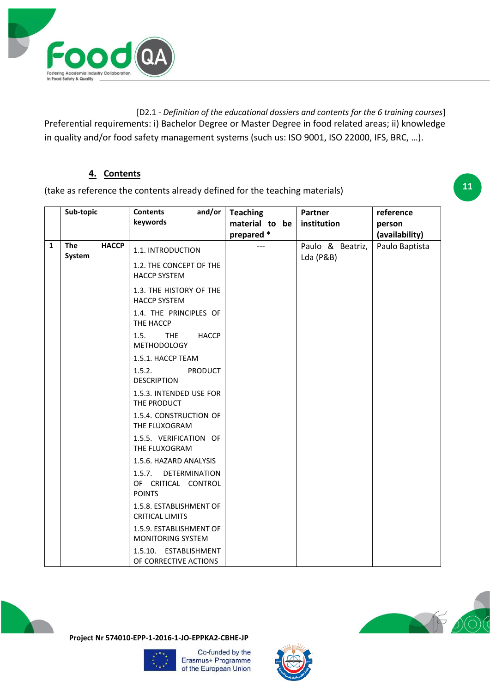

[D2.1 - *Definition of the educational dossiers and contents for the 6 training courses*] Preferential requirements: i) Bachelor Degree or Master Degree in food related areas; ii) knowledge in quality and/or food safety management systems (such us: ISO 9001, ISO 22000, IFS, BRC, ...).

#### **4. Contents**

(take as reference the contents already defined for the teaching materials)

|              | Sub-topic            |              | and/or<br><b>Contents</b>                                                                                                                                                                                                                                                                                                                                                                                                                                                                                                         | <b>Teaching</b>              | <b>Partner</b>                | reference                |
|--------------|----------------------|--------------|-----------------------------------------------------------------------------------------------------------------------------------------------------------------------------------------------------------------------------------------------------------------------------------------------------------------------------------------------------------------------------------------------------------------------------------------------------------------------------------------------------------------------------------|------------------------------|-------------------------------|--------------------------|
|              |                      |              | keywords                                                                                                                                                                                                                                                                                                                                                                                                                                                                                                                          | material to be<br>prepared * | institution                   | person<br>(availability) |
| $\mathbf{1}$ | <b>The</b><br>System | <b>HACCP</b> | 1.1. INTRODUCTION<br>1.2. THE CONCEPT OF THE                                                                                                                                                                                                                                                                                                                                                                                                                                                                                      |                              | Paulo & Beatriz,<br>Lda (P&B) | Paulo Baptista           |
|              |                      |              | <b>HACCP SYSTEM</b><br>1.3. THE HISTORY OF THE<br><b>HACCP SYSTEM</b><br>1.4. THE PRINCIPLES OF<br>THE HACCP<br>1.5.<br><b>THE</b><br><b>HACCP</b><br><b>METHODOLOGY</b><br>1.5.1. HACCP TEAM<br>1.5.2.<br><b>PRODUCT</b><br><b>DESCRIPTION</b><br>1.5.3. INTENDED USE FOR<br>THE PRODUCT<br>1.5.4. CONSTRUCTION OF<br>THE FLUXOGRAM<br>1.5.5. VERIFICATION OF<br>THE FLUXOGRAM<br>1.5.6. HAZARD ANALYSIS<br>1.5.7.<br>DETERMINATION<br>OF CRITICAL CONTROL<br><b>POINTS</b><br>1.5.8. ESTABLISHMENT OF<br><b>CRITICAL LIMITS</b> |                              |                               |                          |
|              |                      |              | 1.5.9. ESTABLISHMENT OF<br>MONITORING SYSTEM<br>1.5.10. ESTABLISHMENT<br>OF CORRECTIVE ACTIONS                                                                                                                                                                                                                                                                                                                                                                                                                                    |                              |                               |                          |







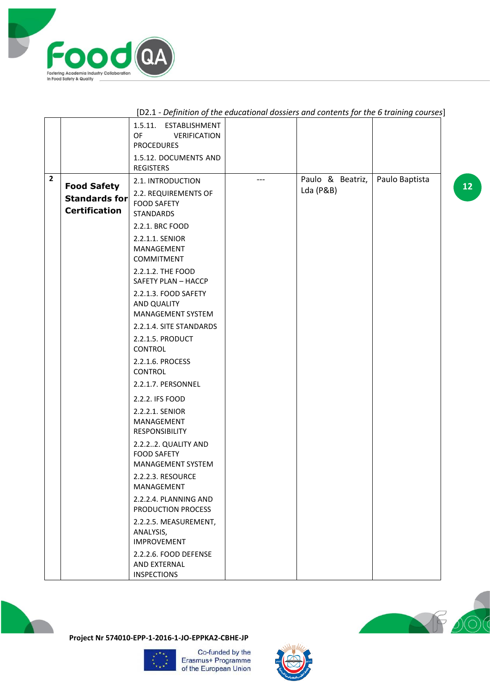

|                |                                                                    | 1.5.11. ESTABLISHMENT<br>OF<br><b>VERIFICATION</b><br><b>PROCEDURES</b><br>1.5.12. DOCUMENTS AND<br><b>REGISTERS</b>                                                                                                                                                                                                                                                                                                                                                                                                                                                                                               |       |                               |                |
|----------------|--------------------------------------------------------------------|--------------------------------------------------------------------------------------------------------------------------------------------------------------------------------------------------------------------------------------------------------------------------------------------------------------------------------------------------------------------------------------------------------------------------------------------------------------------------------------------------------------------------------------------------------------------------------------------------------------------|-------|-------------------------------|----------------|
| $\overline{2}$ | <b>Food Safety</b><br><b>Standards for</b><br><b>Certification</b> | 2.1. INTRODUCTION<br>2.2. REQUIREMENTS OF<br><b>FOOD SAFETY</b><br><b>STANDARDS</b>                                                                                                                                                                                                                                                                                                                                                                                                                                                                                                                                | $---$ | Paulo & Beatriz,<br>Lda (P&B) | Paulo Baptista |
|                |                                                                    | 2.2.1. BRC FOOD<br>2.2.1.1. SENIOR<br>MANAGEMENT<br>COMMITMENT<br>2.2.1.2. THE FOOD<br>SAFETY PLAN - HACCP<br>2.2.1.3. FOOD SAFETY<br>AND QUALITY<br>MANAGEMENT SYSTEM<br>2.2.1.4. SITE STANDARDS<br>2.2.1.5. PRODUCT<br>CONTROL<br>2.2.1.6. PROCESS<br><b>CONTROL</b><br>2.2.1.7. PERSONNEL<br>2.2.2. IFS FOOD<br>2.2.2.1. SENIOR<br>MANAGEMENT<br><b>RESPONSIBILITY</b><br>2.2.22. QUALITY AND<br><b>FOOD SAFETY</b><br>MANAGEMENT SYSTEM<br>2.2.2.3. RESOURCE<br>MANAGEMENT<br>2.2.2.4. PLANNING AND<br>PRODUCTION PROCESS<br>2.2.2.5. MEASUREMENT,<br>ANALYSIS,<br><b>IMPROVEMENT</b><br>2.2.2.6. FOOD DEFENSE |       |                               |                |
|                |                                                                    | AND EXTERNAL<br><b>INSPECTIONS</b>                                                                                                                                                                                                                                                                                                                                                                                                                                                                                                                                                                                 |       |                               |                |



**Project Nr 574010-EPP-1-2016-1-JO-EPPKA2-CBHE-JP**





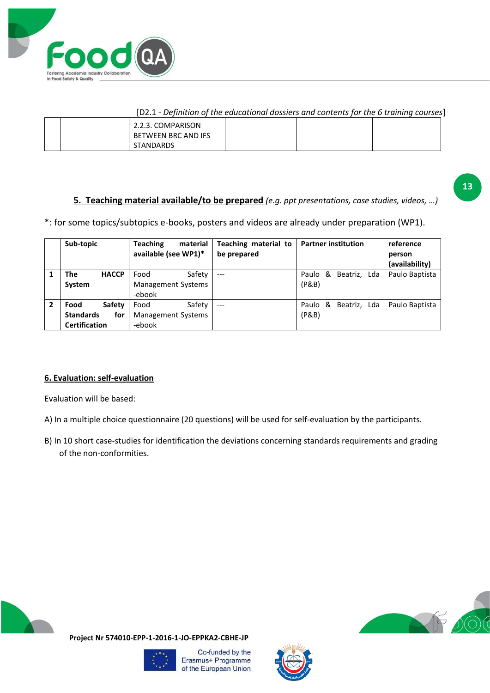

|  | 2.2.3. COMPARISON   |  |  |
|--|---------------------|--|--|
|  | BETWEEN BRC AND IFS |  |  |
|  | <b>STANDARDS</b>    |  |  |

#### **5. Teaching material available/to be prepared** *(e.g. ppt presentations, case studies, videos, …)*

\*: for some topics/subtopics e-books, posters and videos are already under preparation (WP1).

| Sub-topic               |              | <b>Teaching</b>      | material | Teaching material to | <b>Partner institution</b>    | reference      |
|-------------------------|--------------|----------------------|----------|----------------------|-------------------------------|----------------|
|                         |              | available (see WP1)* |          | be prepared          |                               | person         |
|                         |              |                      |          |                      |                               | (availability) |
| The                     | <b>HACCP</b> | Food                 | Safety   | $---$                | &<br>Beatriz. Lda<br>Paulo    | Paulo Baptista |
| System                  |              | Management Systems   |          |                      | (P&B)                         |                |
|                         |              | -ebook               |          |                      |                               |                |
| Food                    | Safety       | Food                 | Safety   | $---$                | Lda<br>&<br>Paulo<br>Beatriz, | Paulo Baptista |
| <b>Standards</b><br>for |              | Management Systems   |          |                      | (P&B)                         |                |
| <b>Certification</b>    |              | -ebook               |          |                      |                               |                |

#### **6. Evaluation: self-evaluation**

Evaluation will be based:

- A) In a multiple choice questionnaire (20 questions) will be used for self-evaluation by the participants.
- B) In 10 short case-studies for identification the deviations concerning standards requirements and grading of the non-conformities.



**Contract Contract Contract** 



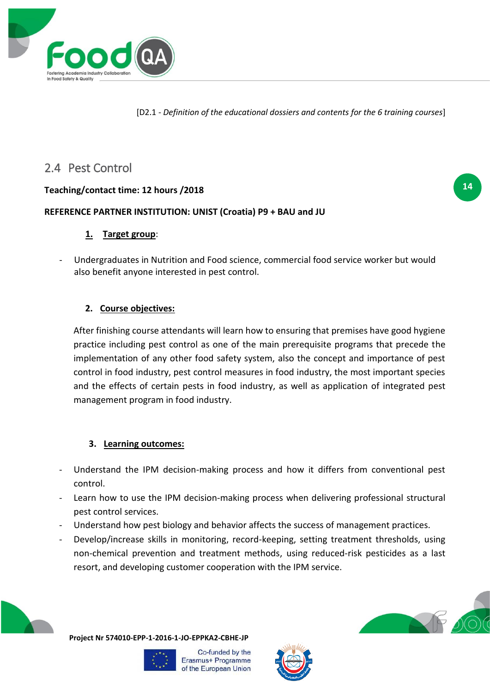

## <span id="page-13-0"></span>2.4 Pest Control

#### **Teaching/contact time: 12 hours /2018**

#### **REFERENCE PARTNER INSTITUTION: UNIST (Croatia) P9 + BAU and JU**

#### **1. Target group**:

- Undergraduates in Nutrition and Food science, commercial food service worker but would also benefit anyone interested in pest control.

#### **2. Course objectives:**

After finishing course attendants will learn how to ensuring that premises have good hygiene practice including pest control as one of the main prerequisite programs that precede the implementation of any other food safety system, also the concept and importance of pest control in food industry, pest control measures in food industry, the most important species and the effects of certain pests in food industry, as well as application of integrated pest management program in food industry.

#### **3. Learning outcomes:**

- Understand the IPM decision-making process and how it differs from conventional pest control.
- Learn how to use the IPM decision-making process when delivering professional structural pest control services.
- Understand how pest biology and behavior affects the success of management practices.
- Develop/increase skills in monitoring, record-keeping, setting treatment thresholds, using non-chemical prevention and treatment methods, using reduced-risk pesticides as a last resort, and developing customer cooperation with the IPM service.





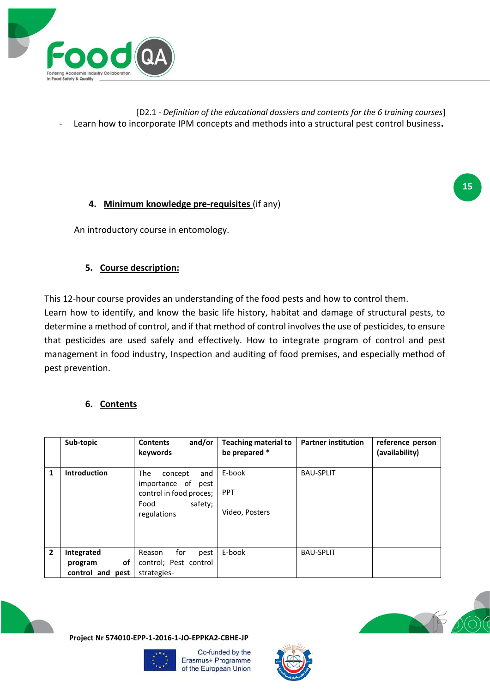

[D2.1 - *Definition of the educational dossiers and contents for the 6 training courses*] - Learn how to incorporate IPM concepts and methods into a structural pest control business**.**

#### **4. Minimum knowledge pre-requisites** (if any)

An introductory course in entomology.

#### **5. Course description:**

This 12-hour course provides an understanding of the food pests and how to control them. Learn how to identify, and know the basic life history, habitat and damage of structural pests, to determine a method of control, and if that method of control involves the use of pesticides, to ensure that pesticides are used safely and effectively. How to integrate program of control and pest management in food industry, Inspection and auditing of food premises, and especially method of pest prevention.

#### **6. Contents**

|                | Sub-topic                                         | and/or<br><b>Contents</b><br>keywords                                                                           | <b>Teaching material to</b><br>be prepared * | <b>Partner institution</b> | reference person<br>(availability) |
|----------------|---------------------------------------------------|-----------------------------------------------------------------------------------------------------------------|----------------------------------------------|----------------------------|------------------------------------|
| 1              | <b>Introduction</b>                               | <b>The</b><br>and<br>concept<br>importance of pest<br>control in food proces;<br>safety;<br>Food<br>regulations | E-book<br><b>PPT</b><br>Video, Posters       | <b>BAU-SPLIT</b>           |                                    |
| $\overline{2}$ | Integrated<br>of l<br>program<br>control and pest | for<br>pest<br>Reason<br>control; Pest control<br>strategies-                                                   | E-book                                       | <b>BAU-SPLIT</b>           |                                    |



**Project Nr 574010-EPP-1-2016-1-JO-EPPKA2-CBHE-JP**





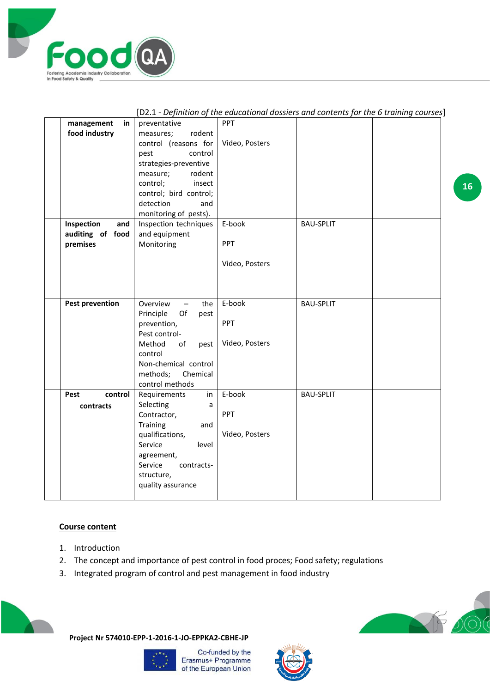

| [D2.1 - Definition of the educational dossiers and contents for the 6 training courses] |  |  |  |
|-----------------------------------------------------------------------------------------|--|--|--|
|-----------------------------------------------------------------------------------------|--|--|--|

| management<br>in                      | preventative                                                                                                                                                                                                 | PPT                             |                  |  |
|---------------------------------------|--------------------------------------------------------------------------------------------------------------------------------------------------------------------------------------------------------------|---------------------------------|------------------|--|
| food industry                         | rodent<br>measures;<br>control (reasons for<br>control<br>pest<br>strategies-preventive<br>measure;<br>rodent<br>control;<br>insect<br>control; bird control;<br>detection<br>and<br>monitoring of pests).   | Video, Posters                  |                  |  |
| Inspection<br>and<br>auditing of food | Inspection techniques<br>and equipment                                                                                                                                                                       | E-book                          | <b>BAU-SPLIT</b> |  |
| premises                              | Monitoring                                                                                                                                                                                                   | PPT                             |                  |  |
|                                       |                                                                                                                                                                                                              | Video, Posters                  |                  |  |
| <b>Pest prevention</b>                | Overview<br>the<br>$\overline{\phantom{m}}$<br>Principle<br>Of<br>pest<br>prevention,<br>Pest control-<br>Method<br>of<br>pest<br>control<br>Non-chemical control<br>methods;<br>Chemical<br>control methods | E-book<br>PPT<br>Video, Posters | <b>BAU-SPLIT</b> |  |
| control<br>Pest                       | Requirements<br>in                                                                                                                                                                                           | E-book                          | <b>BAU-SPLIT</b> |  |
| contracts                             | Selecting<br>a<br>Contractor,<br>Training<br>and<br>qualifications,<br>Service<br>level<br>agreement,<br>Service<br>contracts-<br>structure,<br>quality assurance                                            | PPT<br>Video, Posters           |                  |  |

#### **Course content**

- 1. Introduction
- 2. The concept and importance of pest control in food proces; Food safety; regulations
- 3. Integrated program of control and pest management in food industry





**Project Nr 574010-EPP-1-2016-1-JO-EPPKA2-CBHE-JP**



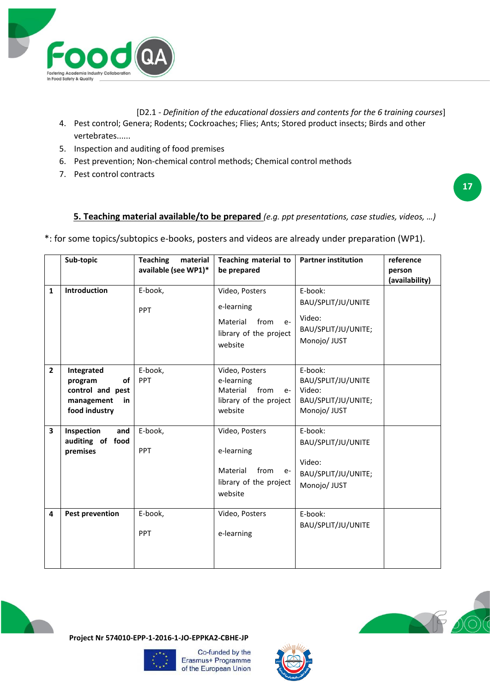

- 4. Pest control; Genera; Rodents; Cockroaches; Flies; Ants; Stored product insects; Birds and other vertebrates......
- 5. Inspection and auditing of food premises
- 6. Pest prevention; Non-chemical control methods; Chemical control methods
- 7. Pest control contracts

#### **5. Teaching material available/to be prepared** *(e.g. ppt presentations, case studies, videos, …)*

\*: for some topics/subtopics e-books, posters and videos are already under preparation (WP1).

|                | Sub-topic                                                                            | <b>Teaching</b><br>material<br>available (see WP1)* | Teaching material to<br>be prepared                                                           | <b>Partner institution</b>                                                     | reference<br>person<br>(availability) |
|----------------|--------------------------------------------------------------------------------------|-----------------------------------------------------|-----------------------------------------------------------------------------------------------|--------------------------------------------------------------------------------|---------------------------------------|
| $\mathbf{1}$   | Introduction                                                                         | E-book,<br>PPT                                      | Video, Posters<br>e-learning<br>Material<br>from<br>$e-$<br>library of the project<br>website | E-book:<br>BAU/SPLIT/JU/UNITE<br>Video:<br>BAU/SPLIT/JU/UNITE;<br>Monojo/ JUST |                                       |
| $\overline{2}$ | Integrated<br>οf<br>program<br>control and pest<br>management<br>in<br>food industry | E-book,<br><b>PPT</b>                               | Video, Posters<br>e-learning<br>Material<br>from<br>$e-$<br>library of the project<br>website | E-book:<br>BAU/SPLIT/JU/UNITE<br>Video:<br>BAU/SPLIT/JU/UNITE;<br>Monojo/ JUST |                                       |
| 3              | Inspection<br>and<br>auditing of food<br>premises                                    | E-book,<br><b>PPT</b>                               | Video, Posters<br>e-learning<br>Material<br>from<br>$e-$<br>library of the project<br>website | E-book:<br>BAU/SPLIT/JU/UNITE<br>Video:<br>BAU/SPLIT/JU/UNITE;<br>Monojo/ JUST |                                       |
| 4              | <b>Pest prevention</b>                                                               | E-book,<br><b>PPT</b>                               | Video, Posters<br>e-learning                                                                  | E-book:<br>BAU/SPLIT/JU/UNITE                                                  |                                       |







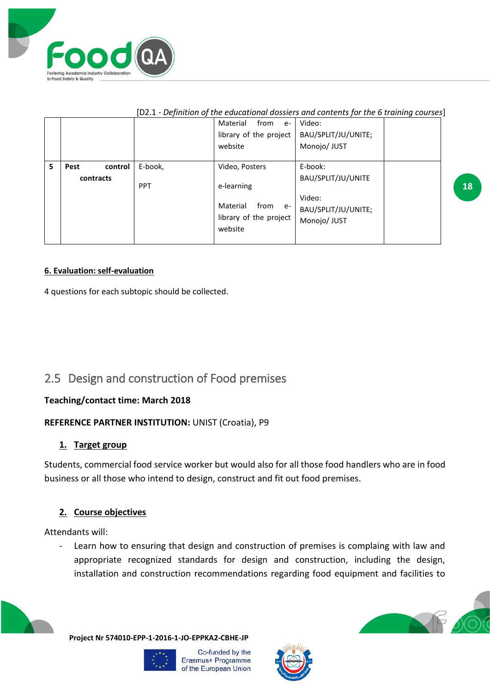

|   |                 |            |                                                  | $ D2.1$ - Definition of the educational dossiers and contents for the 0 training courses $ D $ |  |
|---|-----------------|------------|--------------------------------------------------|------------------------------------------------------------------------------------------------|--|
|   |                 |            | Material<br>from<br>$e-$                         | Video:                                                                                         |  |
|   |                 |            | library of the project                           | BAU/SPLIT/JU/UNITE;                                                                            |  |
|   |                 |            | website                                          | Monojo/ JUST                                                                                   |  |
|   |                 |            |                                                  |                                                                                                |  |
| 5 | control<br>Pest | E-book,    | Video, Posters                                   | E-book:                                                                                        |  |
|   | contracts       |            |                                                  | BAU/SPLIT/JU/UNITE                                                                             |  |
|   |                 | <b>PPT</b> | e-learning                                       |                                                                                                |  |
|   |                 |            | Material<br>from<br>e-<br>library of the project | Video:<br>BAU/SPLIT/JU/UNITE;<br>Monojo/ JUST                                                  |  |
|   |                 |            | website                                          |                                                                                                |  |

#### **6. Evaluation: self-evaluation**

4 questions for each subtopic should be collected.

# <span id="page-17-0"></span>2.5 Design and construction of Food premises

#### **Teaching/contact time: March 2018**

#### **REFERENCE PARTNER INSTITUTION:** UNIST (Croatia), P9

#### **1. Target group**

Students, commercial food service worker but would also for all those food handlers who are in food business or all those who intend to design, construct and fit out food premises.

#### **2. Course objectives**

Attendants will:

Learn how to ensuring that design and construction of premises is complaing with law and appropriate recognized standards for design and construction, including the design, installation and construction recommendations regarding food equipment and facilities to







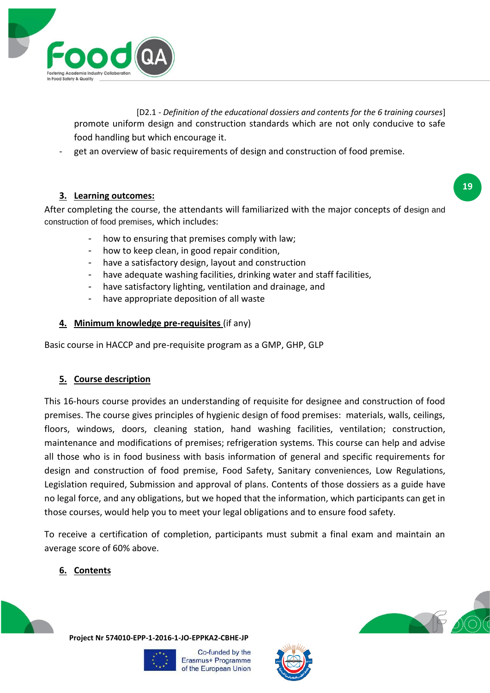

[D2.1 - *Definition of the educational dossiers and contents for the 6 training courses*] promote uniform design and construction standards which are not only conducive to safe food handling but which encourage it.

get an overview of basic requirements of design and construction of food premise.

#### **3. Learning outcomes:**

After completing the course, the attendants will familiarized with the major concepts of design and construction of food premises, which includes:

- how to ensuring that premises comply with law;
- how to keep clean, in good repair condition,
- have a satisfactory design, layout and construction
- have adequate washing facilities, drinking water and staff facilities,
- have satisfactory lighting, ventilation and drainage, and
- have appropriate deposition of all waste

#### **4. Minimum knowledge pre-requisites** (if any)

Basic course in HACCP and pre-requisite program as a GMP, GHP, GLP

#### **5. Course description**

This 16-hours course provides an understanding of requisite for designee and construction of food premises. The course gives principles of hygienic design of food premises: materials, walls, ceilings, floors, windows, doors, cleaning station, hand washing facilities, ventilation; construction, maintenance and modifications of premises; refrigeration systems. This course can help and advise all those who is in food business with basis information of general and specific requirements for design and construction of food premise, Food Safety, Sanitary conveniences, Low Regulations, Legislation required, Submission and approval of plans. Contents of those dossiers as a guide have no legal force, and any obligations, but we hoped that the information, which participants can get in those courses, would help you to meet your legal obligations and to ensure food safety.

To receive a certification of completion, participants must submit a final exam and maintain an average score of 60% above.

#### **6. Contents**





**Project Nr 574010-EPP-1-2016-1-JO-EPPKA2-CBHE-JP**



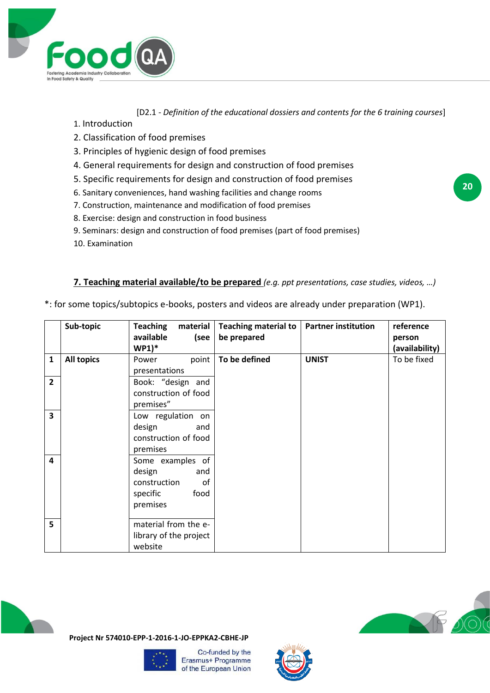

- 1. Introduction
- 2. Classification of food premises
- 3. Principles of hygienic design of food premises
- 4. General requirements for design and construction of food premises
- 5. Specific requirements for design and construction of food premises
- 6. Sanitary conveniences, hand washing facilities and change rooms
- 7. Construction, maintenance and modification of food premises
- 8. Exercise: design and construction in food business
- 9. Seminars: design and construction of food premises (part of food premises)
- 10. Examination

#### **7. Teaching material available/to be prepared** *(e.g. ppt presentations, case studies, videos, …)*

|                | Sub-topic         | <b>Teaching</b><br>material<br>available<br>(see<br>$WP1)*$                             | <b>Teaching material to</b><br>be prepared | <b>Partner institution</b> | reference<br>person<br>(availability) |
|----------------|-------------------|-----------------------------------------------------------------------------------------|--------------------------------------------|----------------------------|---------------------------------------|
| $\mathbf{1}$   | <b>All topics</b> | point<br>Power<br>presentations                                                         | To be defined                              | <b>UNIST</b>               | To be fixed                           |
| $\overline{2}$ |                   | Book: "design and<br>construction of food<br>premises"                                  |                                            |                            |                                       |
| 3              |                   | Low regulation on<br>design<br>and<br>construction of food<br>premises                  |                                            |                            |                                       |
| 4              |                   | Some examples of<br>design<br>and<br>construction<br>0f<br>food<br>specific<br>premises |                                            |                            |                                       |
| 5              |                   | material from the e-<br>library of the project<br>website                               |                                            |                            |                                       |

\*: for some topics/subtopics e-books, posters and videos are already under preparation (WP1).



**Project Nr 574010-EPP-1-2016-1-JO-EPPKA2-CBHE-JP**





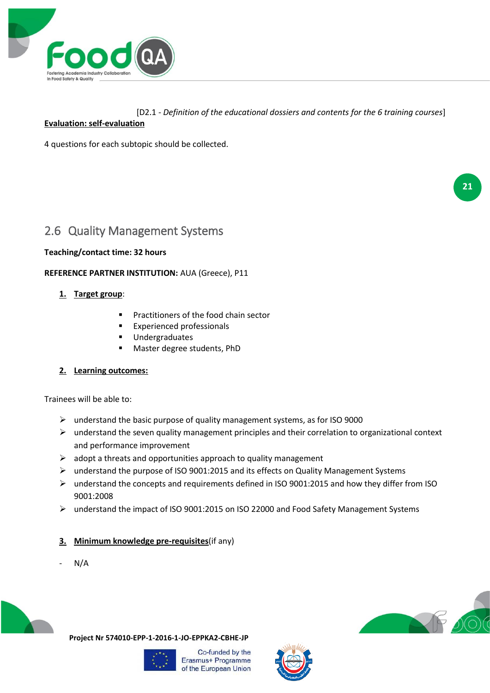

#### [D2.1 - *Definition of the educational dossiers and contents for the 6 training courses*] **Evaluation: self-evaluation**

4 questions for each subtopic should be collected.

### <span id="page-20-0"></span>2.6 Quality Management Systems

#### **Teaching/contact time: 32 hours**

#### **REFERENCE PARTNER INSTITUTION:** AUA (Greece), P11

#### **1. Target group**:

- Practitioners of the food chain sector
- **Experienced professionals**
- Undergraduates
- Master degree students, PhD

#### **2. Learning outcomes:**

Trainees will be able to:

- $\triangleright$  understand the basic purpose of quality management systems, as for ISO 9000
- $\triangleright$  understand the seven quality management principles and their correlation to organizational context and performance improvement
- $\triangleright$  adopt a threats and opportunities approach to quality management
- ➢ understand the purpose of ISO 9001:2015 and its effects on Quality Management Systems
- ➢ understand the concepts and requirements defined in ISO 9001:2015 and how they differ from ISO 9001:2008
- ➢ understand the impact of ISO 9001:2015 on ISO 22000 and Food Safety Management Systems
- **3. Minimum knowledge pre-requisites**(if any)
- $N/A$







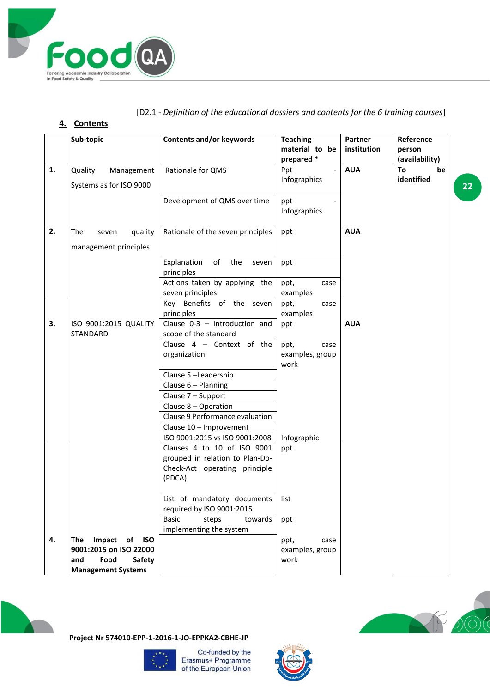

#### **4. Contents**

|    | Sub-topic                                                                                                   | <b>Contents and/or keywords</b>                                                                           | <b>Teaching</b><br>material to be<br>prepared * | Partner<br>institution | Reference<br>person<br>(availability) |    |
|----|-------------------------------------------------------------------------------------------------------------|-----------------------------------------------------------------------------------------------------------|-------------------------------------------------|------------------------|---------------------------------------|----|
| 1. | Quality<br>Management<br>Systems as for ISO 9000                                                            | Rationale for QMS                                                                                         | Ppt<br>Infographics                             | <b>AUA</b>             | To<br>be<br>identified                | 22 |
|    |                                                                                                             | Development of QMS over time                                                                              | ppt<br>Infographics                             |                        |                                       |    |
| 2. | The<br>quality<br>seven<br>management principles                                                            | Rationale of the seven principles                                                                         | ppt                                             | <b>AUA</b>             |                                       |    |
|    |                                                                                                             | of<br>Explanation<br>the<br>seven<br>principles                                                           | ppt                                             |                        |                                       |    |
|    |                                                                                                             | Actions taken by applying the<br>seven principles                                                         | ppt,<br>case<br>examples                        |                        |                                       |    |
| 3. | ISO 9001:2015 QUALITY                                                                                       | Key Benefits of the seven<br>principles<br>Clause $0-3$ – Introduction and                                | ppt,<br>case<br>examples<br>ppt                 | <b>AUA</b>             |                                       |    |
|    | <b>STANDARD</b>                                                                                             | scope of the standard<br>Clause $4$ - Context of the<br>organization                                      | ppt,<br>case<br>examples, group<br>work         |                        |                                       |    |
|    |                                                                                                             | Clause 5-Leadership<br>Clause 6 - Planning<br>Clause 7 - Support<br>Clause 8 - Operation                  |                                                 |                        |                                       |    |
|    |                                                                                                             | Clause 9 Performance evaluation<br>Clause 10 - Improvement<br>ISO 9001:2015 vs ISO 9001:2008              |                                                 |                        |                                       |    |
|    |                                                                                                             | Clauses 4 to 10 of ISO 9001<br>grouped in relation to Plan-Do-<br>Check-Act operating principle<br>(PDCA) | Infographic<br>ppt                              |                        |                                       |    |
|    |                                                                                                             | List of mandatory documents list<br>required by ISO 9001:2015                                             |                                                 |                        |                                       |    |
| 4. | Impact of ISO<br>The<br>9001:2015 on ISO 22000<br>Food<br><b>Safety</b><br>and<br><b>Management Systems</b> | <b>Basic</b><br>steps<br>towards<br>implementing the system                                               | ppt<br>ppt,<br>case<br>examples, group<br>work  |                        |                                       |    |



**Project Nr 574010-EPP-1-2016-1-JO-EPPKA2-CBHE-JP**





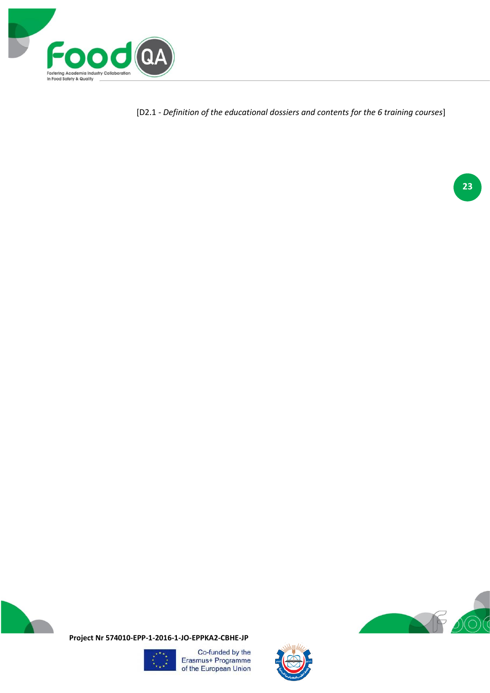



**Project Nr 574010-EPP-1-2016-1-JO-EPPKA2-CBHE-JP**



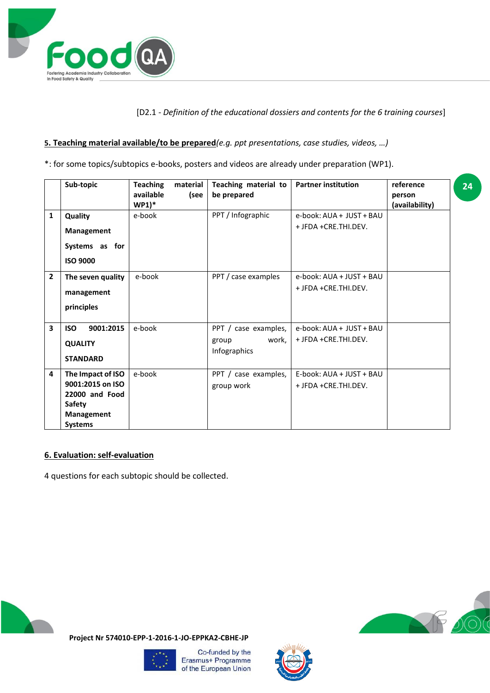

#### **5. Teaching material available/to be prepared***(e.g. ppt presentations, case studies, videos, …)*

\*: for some topics/subtopics e-books, posters and videos are already under preparation (WP1).

|                | Sub-topic                                                                                         | <b>Teaching</b><br>material<br>available<br>(see<br><b>WP1)*</b> | Teaching material to<br>be prepared                    | <b>Partner institution</b>                       | reference<br>person<br>(availability) |
|----------------|---------------------------------------------------------------------------------------------------|------------------------------------------------------------------|--------------------------------------------------------|--------------------------------------------------|---------------------------------------|
| 1              | Quality<br>Management<br>Systems as for<br><b>ISO 9000</b>                                        | e-book                                                           | PPT / Infographic                                      | e-book: AUA + JUST + BAU<br>+ JFDA +CRE.THI.DEV. |                                       |
| $\overline{2}$ | The seven quality<br>management<br>principles                                                     | e-book                                                           | PPT / case examples                                    | e-book: AUA + JUST + BAU<br>+ JFDA +CRE.THI.DEV. |                                       |
| 3              | 9001:2015<br><b>ISO</b><br><b>QUALITY</b><br><b>STANDARD</b>                                      | e-book                                                           | PPT / case examples,<br>work,<br>group<br>Infographics | e-book: AUA + JUST + BAU<br>+ JFDA +CRE.THI.DEV. |                                       |
| 4              | The Impact of ISO<br>9001:2015 on ISO<br>22000 and Food<br>Safety<br>Management<br><b>Systems</b> | e-book                                                           | PPT / case examples,<br>group work                     | E-book: AUA + JUST + BAU<br>+ JFDA +CRE.THI.DEV. |                                       |

#### **6. Evaluation: self-evaluation**

4 questions for each subtopic should be collected.





**24**

**Project Nr 574010-EPP-1-2016-1-JO-EPPKA2-CBHE-JP**



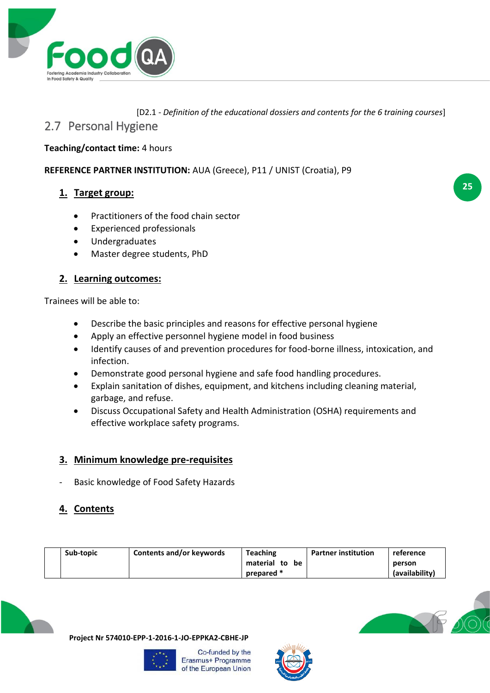

### <span id="page-24-0"></span>2.7 Personal Hygiene

**Teaching/contact time:** 4 hours

#### **REFERENCE PARTNER INSTITUTION:** AUA (Greece), P11 / UNIST (Croatia), P9

#### **1. Target group:**

- Practitioners of the food chain sector
- Experienced professionals
- Undergraduates
- Master degree students, PhD

#### **2. Learning outcomes:**

Trainees will be able to:

- Describe the basic principles and reasons for effective personal hygiene
- Apply an effective personnel hygiene model in food business
- Identify causes of and prevention procedures for food-borne illness, intoxication, and infection.
- Demonstrate good personal hygiene and safe food handling procedures.
- Explain sanitation of dishes, equipment, and kitchens including cleaning material, garbage, and refuse.
- Discuss Occupational Safety and Health Administration (OSHA) requirements and effective workplace safety programs.

#### **3. Minimum knowledge pre-requisites**

Basic knowledge of Food Safety Hazards

#### **4. Contents**

| Sub-topic | Contents and/or keywords | <b>Teaching</b>   | <b>Partner institution</b> | reference      |
|-----------|--------------------------|-------------------|----------------------------|----------------|
|           |                          | material to<br>be |                            | person         |
|           |                          | prepared *        |                            | (availability) |







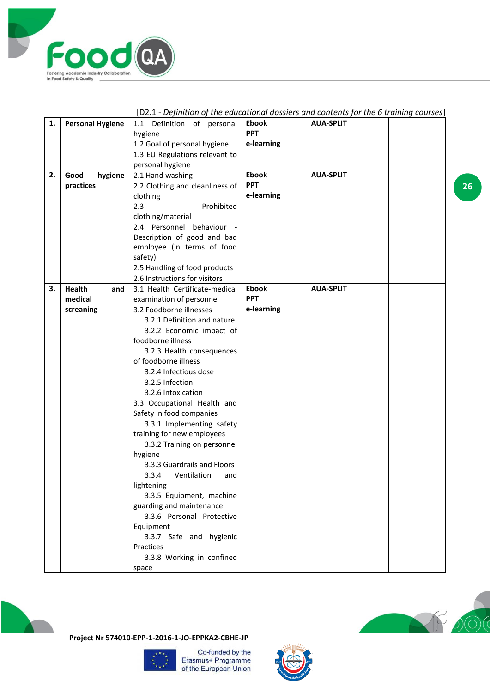

| 1. | <b>Personal Hygiene</b> | 1.1 Definition of personal                            | <b>Ebook</b> | <b>AUA-SPLIT</b> |  |
|----|-------------------------|-------------------------------------------------------|--------------|------------------|--|
|    |                         | hygiene                                               | <b>PPT</b>   |                  |  |
|    |                         | 1.2 Goal of personal hygiene                          | e-learning   |                  |  |
|    |                         | 1.3 EU Regulations relevant to                        |              |                  |  |
|    |                         | personal hygiene                                      |              |                  |  |
| 2. | Good<br>hygiene         | 2.1 Hand washing                                      | <b>Ebook</b> | <b>AUA-SPLIT</b> |  |
|    | practices               | 2.2 Clothing and cleanliness of                       | <b>PPT</b>   |                  |  |
|    |                         | clothing                                              | e-learning   |                  |  |
|    |                         | Prohibited<br>2.3                                     |              |                  |  |
|    |                         | clothing/material                                     |              |                  |  |
|    |                         | 2.4 Personnel behaviour                               |              |                  |  |
|    |                         | Description of good and bad                           |              |                  |  |
|    |                         | employee (in terms of food                            |              |                  |  |
|    |                         | safety)                                               |              |                  |  |
|    |                         | 2.5 Handling of food products                         |              |                  |  |
|    |                         | 2.6 Instructions for visitors                         |              |                  |  |
| 3. | <b>Health</b><br>and    | 3.1 Health Certificate-medical                        | <b>Ebook</b> | <b>AUA-SPLIT</b> |  |
|    | medical                 | examination of personnel                              | <b>PPT</b>   |                  |  |
|    | screaning               | 3.2 Foodborne illnesses                               | e-learning   |                  |  |
|    |                         | 3.2.1 Definition and nature                           |              |                  |  |
|    |                         | 3.2.2 Economic impact of                              |              |                  |  |
|    |                         | foodborne illness                                     |              |                  |  |
|    |                         | 3.2.3 Health consequences                             |              |                  |  |
|    |                         | of foodborne illness                                  |              |                  |  |
|    |                         | 3.2.4 Infectious dose                                 |              |                  |  |
|    |                         | 3.2.5 Infection                                       |              |                  |  |
|    |                         | 3.2.6 Intoxication                                    |              |                  |  |
|    |                         | 3.3 Occupational Health and                           |              |                  |  |
|    |                         | Safety in food companies                              |              |                  |  |
|    |                         | 3.3.1 Implementing safety                             |              |                  |  |
|    |                         | training for new employees                            |              |                  |  |
|    |                         | 3.3.2 Training on personnel                           |              |                  |  |
|    |                         | hygiene                                               |              |                  |  |
|    |                         | 3.3.3 Guardrails and Floors                           |              |                  |  |
|    |                         | Ventilation<br>3.3.4<br>and                           |              |                  |  |
|    |                         | lightening                                            |              |                  |  |
|    |                         | 3.3.5 Equipment, machine                              |              |                  |  |
|    |                         | guarding and maintenance<br>3.3.6 Personal Protective |              |                  |  |
|    |                         |                                                       |              |                  |  |
|    |                         | Equipment<br>3.3.7 Safe and hygienic                  |              |                  |  |
|    |                         | Practices                                             |              |                  |  |
|    |                         | 3.3.8 Working in confined                             |              |                  |  |
|    |                         | space                                                 |              |                  |  |



**Project Nr 574010-EPP-1-2016-1-JO-EPPKA2-CBHE-JP**





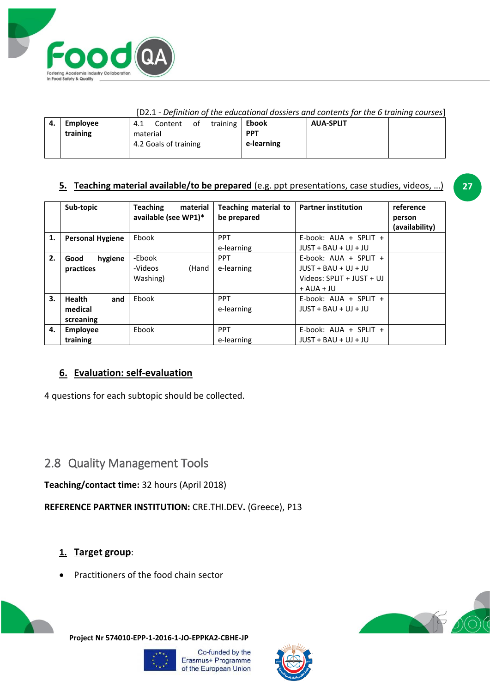

| 4. | <b>Employee</b> | 4.1      | Content               | 0f | training   Ebook |            | <b>AUA-SPLIT</b> |  |
|----|-----------------|----------|-----------------------|----|------------------|------------|------------------|--|
|    | training        | material |                       |    |                  | <b>PPT</b> |                  |  |
|    |                 |          | 4.2 Goals of training |    |                  | e-learning |                  |  |
|    |                 |          |                       |    |                  |            |                  |  |

#### **5. Teaching material available/to be prepared** (e.g. ppt presentations, case studies, videos, …)

|    | Sub-topic               | <b>Teaching</b><br>material<br>available (see WP1)* | Teaching material to<br>be prepared | <b>Partner institution</b> | reference<br>person<br>(availability) |
|----|-------------------------|-----------------------------------------------------|-------------------------------------|----------------------------|---------------------------------------|
| 1. | <b>Personal Hygiene</b> | Ebook                                               | <b>PPT</b>                          | E-book: AUA + SPLIT +      |                                       |
|    |                         |                                                     | e-learning                          | $JUST + BAU + UJ + JU$     |                                       |
| 2. | hygiene<br>Good         | -Ebook                                              | <b>PPT</b>                          | E-book: $AUA + SPLIT +$    |                                       |
|    | practices               | -Videos<br>(Hand                                    | e-learning                          | $JUST + BAU + UJ + JU$     |                                       |
|    |                         | Washing)                                            |                                     | Videos: SPLIT + JUST + UJ  |                                       |
|    |                         |                                                     |                                     | $+ AUA + JU$               |                                       |
| 3. | <b>Health</b><br>and    | Ebook                                               | <b>PPT</b>                          | E-book: $AUA + SPLIT +$    |                                       |
|    | medical                 |                                                     | e-learning                          | $JUST + BAU + UJ + JU$     |                                       |
|    | screaning               |                                                     |                                     |                            |                                       |
| 4. | <b>Employee</b>         | Ebook                                               | <b>PPT</b>                          | E-book: $AUA + SPLIT +$    |                                       |
|    | training                |                                                     | e-learning                          | $JUST + BAU + UJ + JU$     |                                       |

#### **6. Evaluation: self-evaluation**

4 questions for each subtopic should be collected.

#### <span id="page-26-0"></span>2.8 Quality Management Tools

**Teaching/contact time:** 32 hours (April 2018)

**REFERENCE PARTNER INSTITUTION:** CRE.THI.DEV**.** (Greece), P13

- **1. Target group**:
- Practitioners of the food chain sector





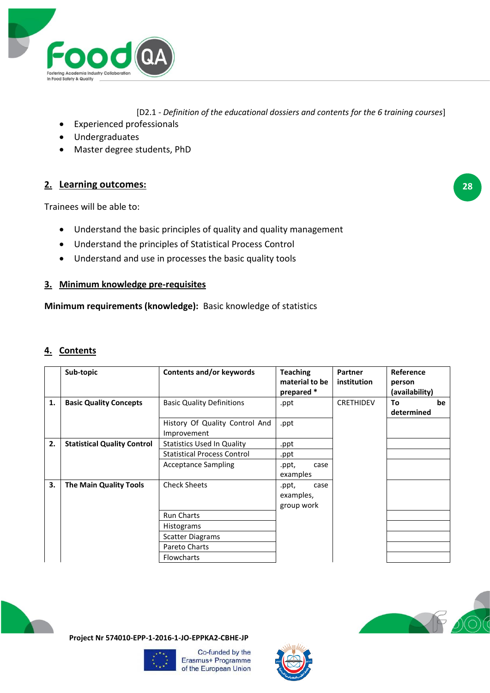

- Experienced professionals
- Undergraduates
- Master degree students, PhD

#### **2. Learning outcomes:**

Trainees will be able to:

- Understand the basic principles of quality and quality management
- Understand the principles of Statistical Process Control
- Understand and use in processes the basic quality tools

#### **3. Minimum knowledge pre-requisites**

**Minimum requirements (knowledge):** Basic knowledge of statistics

#### **4. Contents**

|    | Sub-topic                          | <b>Contents and/or keywords</b>               | <b>Teaching</b><br>material to be | Partner          | Reference                |
|----|------------------------------------|-----------------------------------------------|-----------------------------------|------------------|--------------------------|
|    |                                    |                                               | prepared *                        | institution      | person<br>(availability) |
| 1. | <b>Basic Quality Concepts</b>      | <b>Basic Quality Definitions</b>              | .ppt                              | <b>CRETHIDEV</b> | To<br>be<br>determined   |
|    |                                    | History Of Quality Control And<br>Improvement | .ppt                              |                  |                          |
| 2. | <b>Statistical Quality Control</b> | <b>Statistics Used In Quality</b>             | .ppt                              |                  |                          |
|    |                                    | <b>Statistical Process Control</b>            | .ppt                              |                  |                          |
|    |                                    | <b>Acceptance Sampling</b>                    | .ppt,<br>case                     |                  |                          |
|    |                                    |                                               | examples                          |                  |                          |
| 3. | <b>The Main Quality Tools</b>      | <b>Check Sheets</b>                           | .ppt,<br>case                     |                  |                          |
|    |                                    |                                               | examples,                         |                  |                          |
|    |                                    |                                               | group work                        |                  |                          |
|    |                                    | <b>Run Charts</b>                             |                                   |                  |                          |
|    |                                    | Histograms                                    |                                   |                  |                          |
|    |                                    | <b>Scatter Diagrams</b>                       |                                   |                  |                          |
|    |                                    | Pareto Charts                                 |                                   |                  |                          |
|    |                                    | <b>Flowcharts</b>                             |                                   |                  |                          |









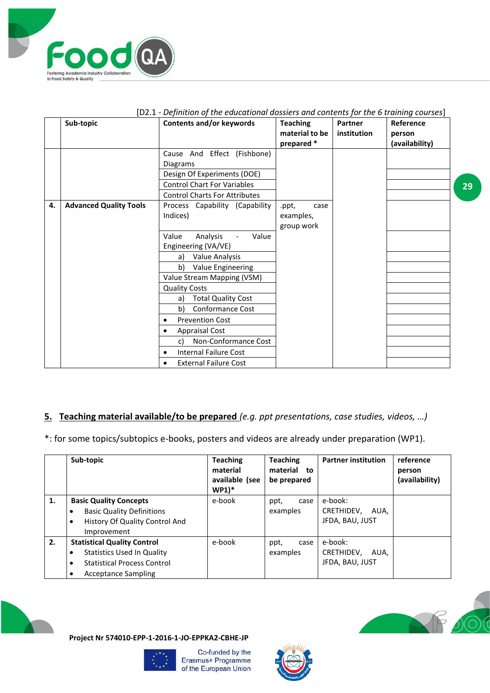

|    | Sub-topic                     | $[DZ,1]$ - Definition of the educational dossiers and contents for the 0 training coarses $[$<br><b>Contents and/or keywords</b> | <b>Teaching</b> | Partner     | Reference      |
|----|-------------------------------|----------------------------------------------------------------------------------------------------------------------------------|-----------------|-------------|----------------|
|    |                               |                                                                                                                                  | material to be  | institution | person         |
|    |                               |                                                                                                                                  | prepared *      |             | (availability) |
|    |                               | Cause And Effect (Fishbone)                                                                                                      |                 |             |                |
|    |                               | Diagrams                                                                                                                         |                 |             |                |
|    |                               | Design Of Experiments (DOE)                                                                                                      |                 |             |                |
|    |                               | <b>Control Chart For Variables</b>                                                                                               |                 |             |                |
|    |                               | <b>Control Charts For Attributes</b>                                                                                             |                 |             |                |
| 4. | <b>Advanced Quality Tools</b> | Process Capability (Capability                                                                                                   | .ppt,<br>case   |             |                |
|    |                               | Indices)                                                                                                                         | examples,       |             |                |
|    |                               |                                                                                                                                  | group work      |             |                |
|    |                               | Value<br>Analysis<br>Value<br>$\overline{\phantom{a}}$                                                                           |                 |             |                |
|    |                               | Engineering (VA/VE)                                                                                                              |                 |             |                |
|    |                               | Value Analysis<br>a)                                                                                                             |                 |             |                |
|    |                               | b)<br>Value Engineering                                                                                                          |                 |             |                |
|    |                               | Value Stream Mapping (VSM)                                                                                                       |                 |             |                |
|    |                               | <b>Quality Costs</b>                                                                                                             |                 |             |                |
|    |                               | <b>Total Quality Cost</b><br>a)                                                                                                  |                 |             |                |
|    |                               | Conformance Cost<br>b)                                                                                                           |                 |             |                |
|    |                               | <b>Prevention Cost</b><br>٠                                                                                                      |                 |             |                |
|    |                               | <b>Appraisal Cost</b><br>$\bullet$                                                                                               |                 |             |                |
|    |                               | Non-Conformance Cost<br>c)                                                                                                       |                 |             |                |
|    |                               | <b>Internal Failure Cost</b><br>٠                                                                                                |                 |             |                |
|    |                               | <b>External Failure Cost</b>                                                                                                     |                 |             |                |

#### **5. Teaching material available/to be prepared** *(e.g. ppt presentations, case studies, videos, …)*

\*: for some topics/subtopics e-books, posters and videos are already under preparation (WP1).

|    | Sub-topic                                                                                                                                   | <b>Teaching</b><br>material<br>available (see<br>$WP1)*$ | <b>Teaching</b><br>material<br>to<br>be prepared | <b>Partner institution</b>                       | reference<br>person<br>(availability) |
|----|---------------------------------------------------------------------------------------------------------------------------------------------|----------------------------------------------------------|--------------------------------------------------|--------------------------------------------------|---------------------------------------|
| 1. | <b>Basic Quality Concepts</b><br><b>Basic Quality Definitions</b><br>History Of Quality Control And<br>Improvement                          | e-book                                                   | ppt,<br>case<br>examples                         | e-book:<br>CRETHIDEV,<br>AUA.<br>JFDA, BAU, JUST |                                       |
| 2. | <b>Statistical Quality Control</b><br><b>Statistics Used In Quality</b><br><b>Statistical Process Control</b><br><b>Acceptance Sampling</b> | e-book                                                   | ppt,<br>case<br>examples                         | e-book:<br>CRETHIDEV,<br>AUA.<br>JFDA, BAU, JUST |                                       |



**Project Nr 574010-EPP-1-2016-1-JO-EPPKA2-CBHE-JP**